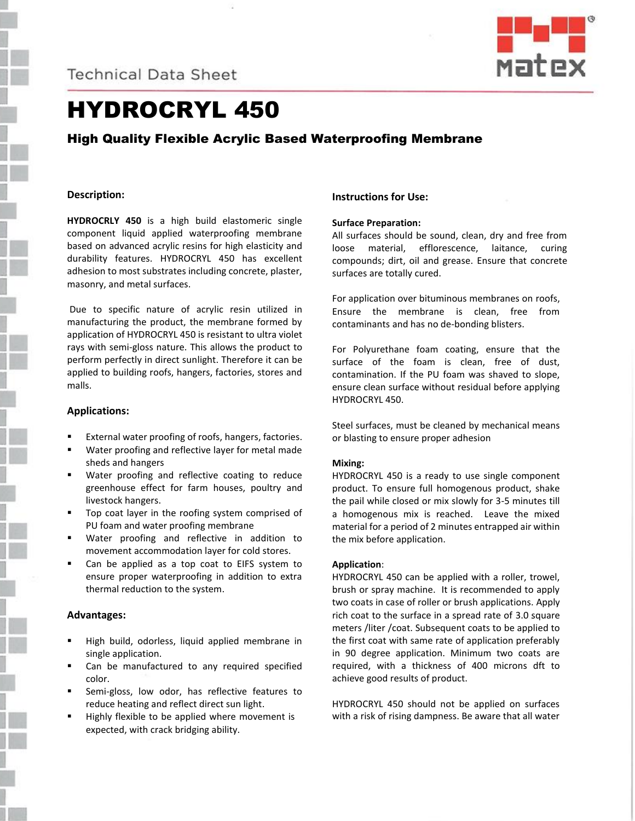**Technical Data Sheet** 



# HYDROCRYL 450

# High Quality Flexible Acrylic Based Waterproofing Membrane

# **Description:**

**HYDROCRLY 450** is a high build elastomeric single component liquid applied waterproofing membrane based on advanced acrylic resins for high elasticity and durability features. HYDROCRYL 450 has excellent adhesion to most substrates including concrete, plaster, masonry, and metal surfaces.

Due to specific nature of acrylic resin utilized in manufacturing the product, the membrane formed by application of HYDROCRYL 450 is resistant to ultra violet rays with semi-gloss nature. This allows the product to perform perfectly in direct sunlight. Therefore it can be applied to building roofs, hangers, factories, stores and malls.

#### **Applications:**

- External water proofing of roofs, hangers, factories.
- Water proofing and reflective layer for metal made sheds and hangers
- Water proofing and reflective coating to reduce greenhouse effect for farm houses, poultry and livestock hangers.
- Top coat layer in the roofing system comprised of PU foam and water proofing membrane
- Water proofing and reflective in addition to movement accommodation layer for cold stores.
- Can be applied as a top coat to EIFS system to ensure proper waterproofing in addition to extra thermal reduction to the system.

#### **Advantages:**

- High build, odorless, liquid applied membrane in single application.
- Can be manufactured to any required specified color.
- Semi-gloss, low odor, has reflective features to reduce heating and reflect direct sun light.
- Highly flexible to be applied where movement is expected, with crack bridging ability.

# **Instructions for Use:**

#### **Surface Preparation:**

All surfaces should be sound, clean, dry and free from loose material, efflorescence, laitance, curing compounds; dirt, oil and grease. Ensure that concrete surfaces are totally cured.

For application over bituminous membranes on roofs, Ensure the membrane is clean, free from contaminants and has no de-bonding blisters.

For Polyurethane foam coating, ensure that the surface of the foam is clean, free of dust, contamination. If the PU foam was shaved to slope, ensure clean surface without residual before applying HYDROCRYL 450.

Steel surfaces, must be cleaned by mechanical means or blasting to ensure proper adhesion

#### **Mixing:**

HYDROCRYL 450 is a ready to use single component product. To ensure full homogenous product, shake the pail while closed or mix slowly for 3-5 minutes till a homogenous mix is reached. Leave the mixed material for a period of 2 minutes entrapped air within the mix before application.

#### **Application**:

HYDROCRYL 450 can be applied with a roller, trowel, brush or spray machine. It is recommended to apply two coats in case of roller or brush applications. Apply rich coat to the surface in a spread rate of 3.0 square meters /liter /coat. Subsequent coats to be applied to the first coat with same rate of application preferably in 90 degree application. Minimum two coats are required, with a thickness of 400 microns dft to achieve good results of product.

HYDROCRYL 450 should not be applied on surfaces with a risk of rising dampness. Be aware that all water